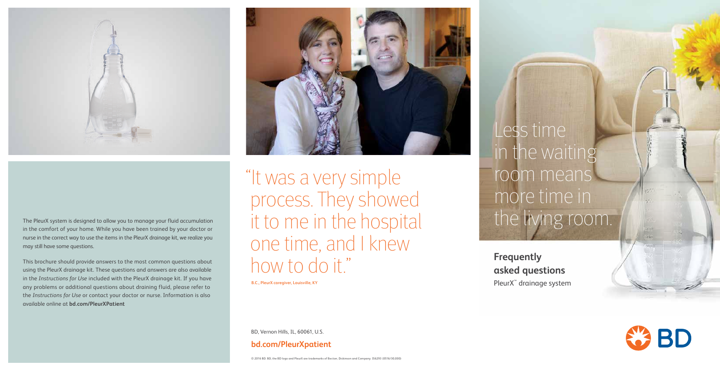**Frequently asked questions** PleurX<sup>™</sup> drainage system





The PleurX system is designed to allow you to manage your fluid accumulation in the comfort of your home. While you have been trained by your doctor or nurse in the correct way to use the items in the PleurX drainage kit, we realize you may still have some questions.

This brochure should provide answers to the most common questions about using the PleurX drainage kit. These questions and answers are also available in the *Instructions for Use* included with the PleurX drainage kit. If you have any problems or additional questions about draining fluid, please refer to the *Instructions for Use* or contact your doctor or nurse. Information is also available online at **bd.com/PleurXPatient**



BD, Vernon Hills, IL, 60061, U.S.

### **bd.com/PleurXpatient**

Less time in the waiting room means more time in the living room.

"It was a very simple process. They showed it to me in the hospital one time, and I knew how to do it."

**B.C., PleurX caregiver, Louisville, KY**